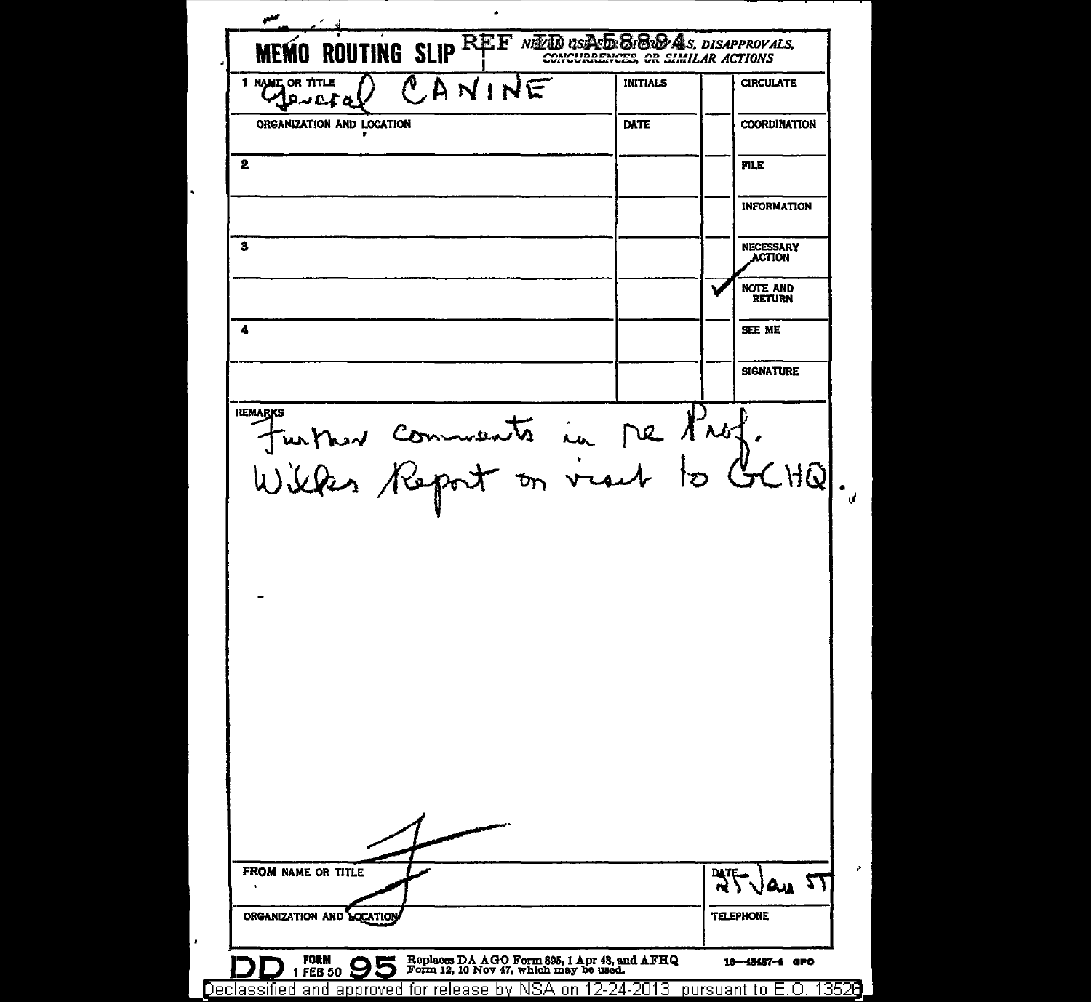سبر MEMO ROUTING SLIP REE NEED OSTAS BROOMS, DISAPPROVALS, CANINE 1 NAME OR TITLE **INITIALS CIRCULATE** Aeveta ORGANIZATION AND LOCATION **DATE COORDINATION**  $\mathbf{2}$ **FILE INFORMATION**  $\overline{\mathbf{3}}$ **NECESSARY ACTION NOTE AND RETURN**  $\overline{\mathbf{A}}$ SEE ME **SIGNATURE** Further comments in Me Prof.<br>Willes Report on vient to GCHQ. **REMARK** FROM NAME OR TITLE  $\sqrt[3]{\sqrt[3]{\mathcal{L}_{\mathcal{U}}}}$ -27 ORGANIZATION AND LOCATION **TELEPHONE** Replaces DA AGO Form 895, 1 Apr 48, and AFHQ<br>Form 12, 10 Nov 47, which may be used. **FORM** 16-48487-4 GPO **FEB 50** Declassified and approved for release by NSA on 12-24-2013 pursuant to E.O. 13528